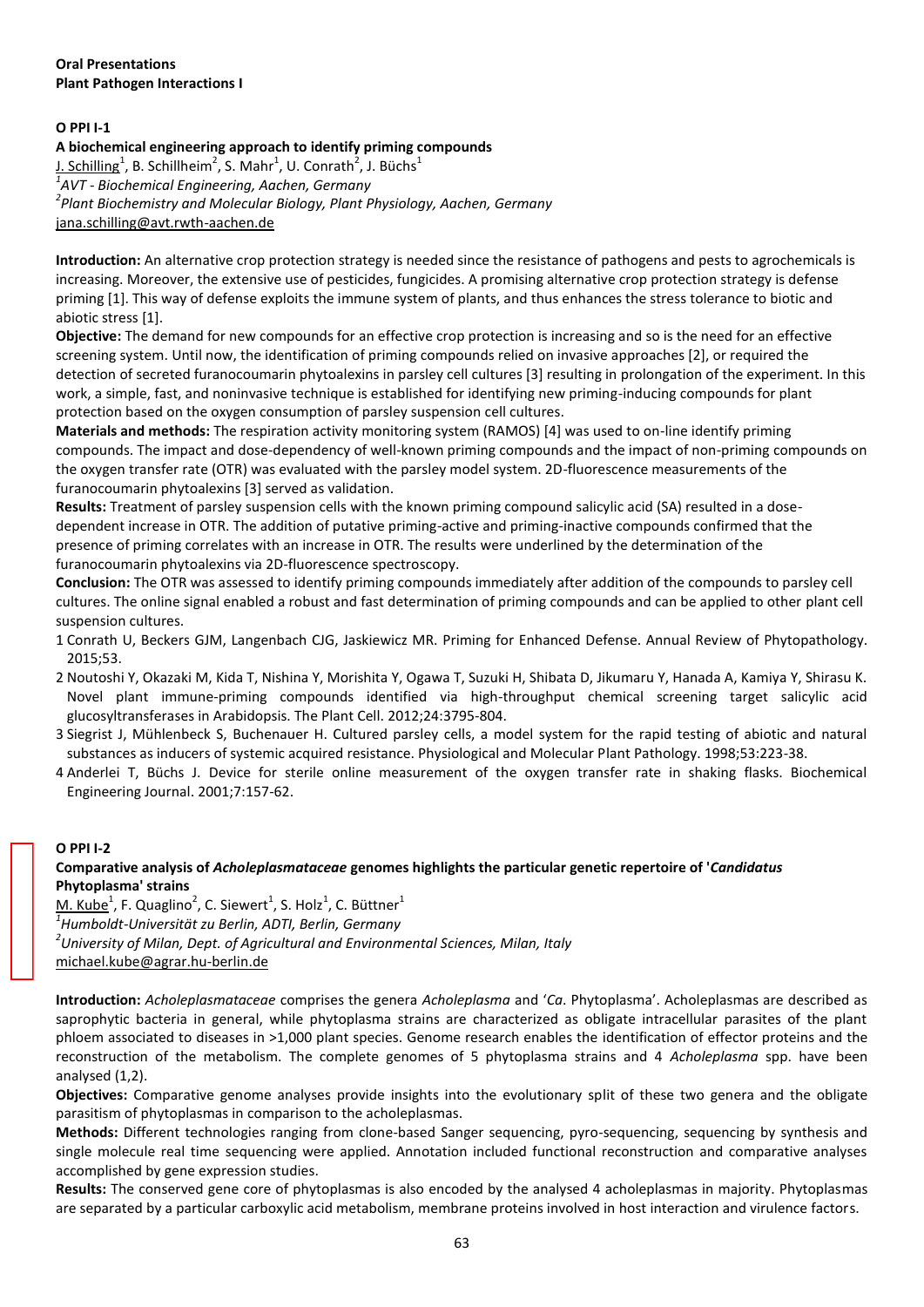### **Oral Presentations Plant Pathogen Interactions I**

# **O PPI I-1**

# **A biochemical engineering approach to identify priming compounds**

<u>J. Schilling</u><sup>1</sup>, B. Schillheim<sup>2</sup>, S. Mahr<sup>1</sup>, U. Conrath<sup>2</sup>, J. Büchs<sup>1</sup> *1 AVT - Biochemical Engineering, Aachen, Germany 2 Plant Biochemistry and Molecular Biology, Plant Physiology, Aachen, Germany*  jana.schilling@avt.rwth-aachen.de

**Introduction:** An alternative crop protection strategy is needed since the resistance of pathogens and pests to agrochemicals is increasing. Moreover, the extensive use of pesticides, fungicides. A promising alternative crop protection strategy is defense priming [1]. This way of defense exploits the immune system of plants, and thus enhances the stress tolerance to biotic and abiotic stress [1].

**Objective:** The demand for new compounds for an effective crop protection is increasing and so is the need for an effective screening system. Until now, the identification of priming compounds relied on invasive approaches [2], or required the detection of secreted furanocoumarin phytoalexins in parsley cell cultures [3] resulting in prolongation of the experiment. In this work, a simple, fast, and noninvasive technique is established for identifying new priming-inducing compounds for plant protection based on the oxygen consumption of parsley suspension cell cultures.

**Materials and methods:** The respiration activity monitoring system (RAMOS) [4] was used to on-line identify priming compounds. The impact and dose-dependency of well-known priming compounds and the impact of non-priming compounds on the oxygen transfer rate (OTR) was evaluated with the parsley model system. 2D-fluorescence measurements of the furanocoumarin phytoalexins [3] served as validation.

**Results:** Treatment of parsley suspension cells with the known priming compound salicylic acid (SA) resulted in a dosedependent increase in OTR. The addition of putative priming-active and priming-inactive compounds confirmed that the presence of priming correlates with an increase in OTR. The results were underlined by the determination of the furanocoumarin phytoalexins via 2D-fluorescence spectroscopy.

**Conclusion:** The OTR was assessed to identify priming compounds immediately after addition of the compounds to parsley cell cultures. The online signal enabled a robust and fast determination of priming compounds and can be applied to other plant cell suspension cultures.

- 1 Conrath U, Beckers GJM, Langenbach CJG, Jaskiewicz MR. Priming for Enhanced Defense. Annual Review of Phytopathology. 2015;53.
- 2 Noutoshi Y, Okazaki M, Kida T, Nishina Y, Morishita Y, Ogawa T, Suzuki H, Shibata D, Jikumaru Y, Hanada A, Kamiya Y, Shirasu K. Novel plant immune-priming compounds identified via high-throughput chemical screening target salicylic acid glucosyltransferases in Arabidopsis. The Plant Cell. 2012;24:3795-804.
- 3 Siegrist J, Mühlenbeck S, Buchenauer H. Cultured parsley cells, a model system for the rapid testing of abiotic and natural substances as inducers of systemic acquired resistance. Physiological and Molecular Plant Pathology. 1998;53:223-38.
- 4 Anderlei T, Büchs J. Device for sterile online measurement of the oxygen transfer rate in shaking flasks. Biochemical Engineering Journal. 2001;7:157-62.

#### **O PPI I-2**

# **Comparative analysis of** *Acholeplasmataceae* **genomes highlights the particular genetic repertoire of '***Candidatus* **Phytoplasma' strains**

 $M.$  Kube<sup>1</sup>, F. Quaglino<sup>2</sup>, C. Siewert<sup>1</sup>, S. Holz<sup>1</sup>, C. Büttner<sup>1</sup> *1 Humboldt-Universität zu Berlin, ADTI, Berlin, Germany 2 University of Milan, Dept. of Agricultural and Environmental Sciences, Milan, Italy*  michael.kube@agrar.hu-berlin.de

**Introduction:** *Acholeplasmataceae* comprises the genera *Acholeplasma* and '*Ca*. Phytoplasma'. Acholeplasmas are described as saprophytic bacteria in general, while phytoplasma strains are characterized as obligate intracellular parasites of the plant phloem associated to diseases in >1,000 plant species. Genome research enables the identification of effector proteins and the reconstruction of the metabolism. The complete genomes of 5 phytoplasma strains and 4 *Acholeplasma* spp. have been analysed (1,2).

**Objectives:** Comparative genome analyses provide insights into the evolutionary split of these two genera and the obligate parasitism of phytoplasmas in comparison to the acholeplasmas.

**Methods:** Different technologies ranging from clone-based Sanger sequencing, pyro-sequencing, sequencing by synthesis and single molecule real time sequencing were applied. Annotation included functional reconstruction and comparative analyses accomplished by gene expression studies.

**Results:** The conserved gene core of phytoplasmas is also encoded by the analysed 4 acholeplasmas in majority. Phytoplasmas are separated by a particular carboxylic acid metabolism, membrane proteins involved in host interaction and virulence factors.